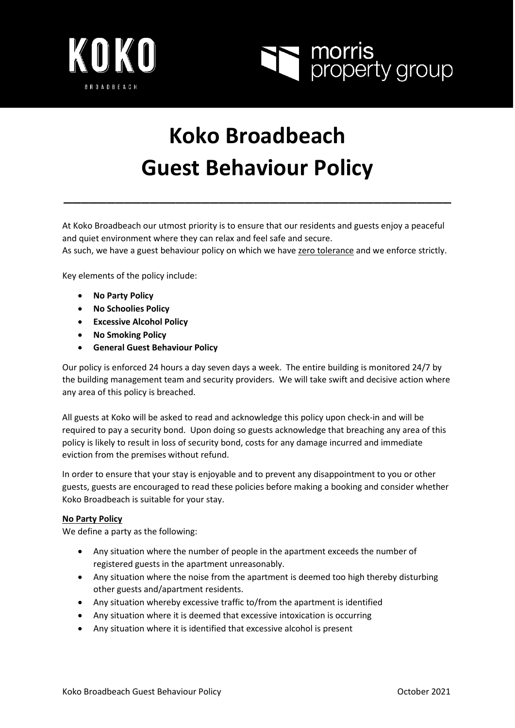



# **Koko Broadbeach Guest Behaviour Policy**

\_\_\_\_\_\_\_\_\_\_\_\_\_\_\_\_\_\_\_\_\_\_\_\_\_\_\_\_\_\_\_\_\_\_\_\_\_\_\_\_\_\_\_\_\_

At Koko Broadbeach our utmost priority is to ensure that our residents and guests enjoy a peaceful and quiet environment where they can relax and feel safe and secure.

As such, we have a guest behaviour policy on which we have zero tolerance and we enforce strictly.

Key elements of the policy include:

- **No Party Policy**
- **No Schoolies Policy**
- **Excessive Alcohol Policy**
- **No Smoking Policy**
- **General Guest Behaviour Policy**

Our policy is enforced 24 hours a day seven days a week. The entire building is monitored 24/7 by the building management team and security providers. We will take swift and decisive action where any area of this policy is breached.

All guests at Koko will be asked to read and acknowledge this policy upon check-in and will be required to pay a security bond. Upon doing so guests acknowledge that breaching any area of this policy is likely to result in loss of security bond, costs for any damage incurred and immediate eviction from the premises without refund.

In order to ensure that your stay is enjoyable and to prevent any disappointment to you or other guests, guests are encouraged to read these policies before making a booking and consider whether Koko Broadbeach is suitable for your stay.

### **No Party Policy**

We define a party as the following:

- Any situation where the number of people in the apartment exceeds the number of registered guests in the apartment unreasonably.
- Any situation where the noise from the apartment is deemed too high thereby disturbing other guests and/apartment residents.
- Any situation whereby excessive traffic to/from the apartment is identified
- Any situation where it is deemed that excessive intoxication is occurring
- Any situation where it is identified that excessive alcohol is present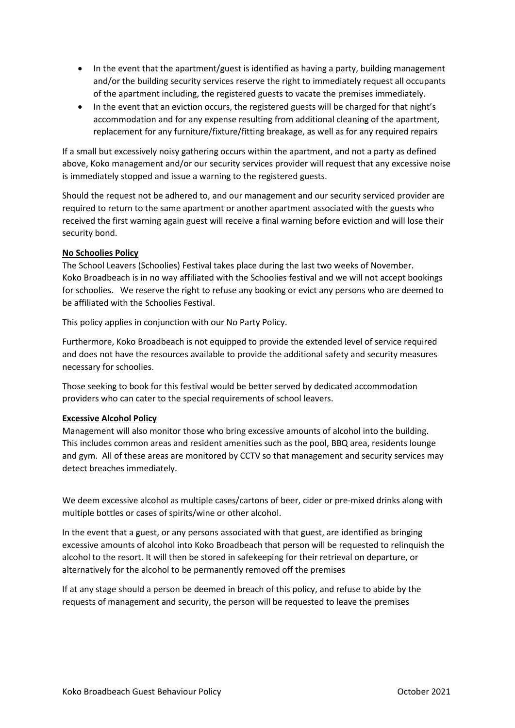- In the event that the apartment/guest is identified as having a party, building management and/or the building security services reserve the right to immediately request all occupants of the apartment including, the registered guests to vacate the premises immediately.
- In the event that an eviction occurs, the registered guests will be charged for that night's accommodation and for any expense resulting from additional cleaning of the apartment, replacement for any furniture/fixture/fitting breakage, as well as for any required repairs

If a small but excessively noisy gathering occurs within the apartment, and not a party as defined above, Koko management and/or our security services provider will request that any excessive noise is immediately stopped and issue a warning to the registered guests.

Should the request not be adhered to, and our management and our security serviced provider are required to return to the same apartment or another apartment associated with the guests who received the first warning again guest will receive a final warning before eviction and will lose their security bond.

## **No Schoolies Policy**

The School Leavers (Schoolies) Festival takes place during the last two weeks of November. Koko Broadbeach is in no way affiliated with the Schoolies festival and we will not accept bookings for schoolies. We reserve the right to refuse any booking or evict any persons who are deemed to be affiliated with the Schoolies Festival.

This policy applies in conjunction with our No Party Policy.

Furthermore, Koko Broadbeach is not equipped to provide the extended level of service required and does not have the resources available to provide the additional safety and security measures necessary for schoolies.

Those seeking to book for this festival would be better served by dedicated accommodation providers who can cater to the special requirements of school leavers.

### **Excessive Alcohol Policy**

Management will also monitor those who bring excessive amounts of alcohol into the building. This includes common areas and resident amenities such as the pool, BBQ area, residents lounge and gym. All of these areas are monitored by CCTV so that management and security services may detect breaches immediately.

We deem excessive alcohol as multiple cases/cartons of beer, cider or pre-mixed drinks along with multiple bottles or cases of spirits/wine or other alcohol.

In the event that a guest, or any persons associated with that guest, are identified as bringing excessive amounts of alcohol into Koko Broadbeach that person will be requested to relinquish the alcohol to the resort. It will then be stored in safekeeping for their retrieval on departure, or alternatively for the alcohol to be permanently removed off the premises

If at any stage should a person be deemed in breach of this policy, and refuse to abide by the requests of management and security, the person will be requested to leave the premises